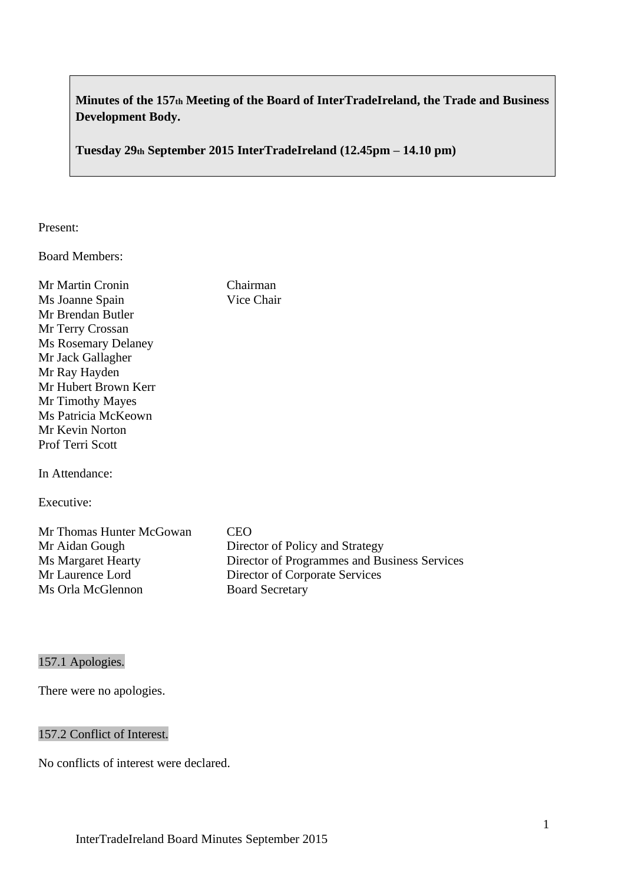# **Minutes of the 157th Meeting of the Board of InterTradeIreland, the Trade and Business Development Body.**

**Tuesday 29th September 2015 InterTradeIreland (12.45pm – 14.10 pm)**

# Present:

Board Members:

| Mr Martin Cronin           | Chairman   |
|----------------------------|------------|
| Ms Joanne Spain            | Vice Chair |
| Mr Brendan Butler          |            |
| Mr Terry Crossan           |            |
| <b>Ms Rosemary Delaney</b> |            |
| Mr Jack Gallagher          |            |
| Mr Ray Hayden              |            |
| Mr Hubert Brown Kerr       |            |
| Mr Timothy Mayes           |            |
| Ms Patricia McKeown        |            |
| Mr Kevin Norton            |            |
| <b>Prof Terri Scott</b>    |            |
|                            |            |
| In Attondonce              |            |

In Attendance:

Executive:

| Mr Thomas Hunter McGowan  | CEO                                          |
|---------------------------|----------------------------------------------|
| Mr Aidan Gough            | Director of Policy and Strategy              |
| <b>Ms Margaret Hearty</b> | Director of Programmes and Business Services |
| Mr Laurence Lord          | Director of Corporate Services               |
| Ms Orla McGlennon         | <b>Board Secretary</b>                       |

# 157.1 Apologies.

There were no apologies.

# 157.2 Conflict of Interest.

No conflicts of interest were declared.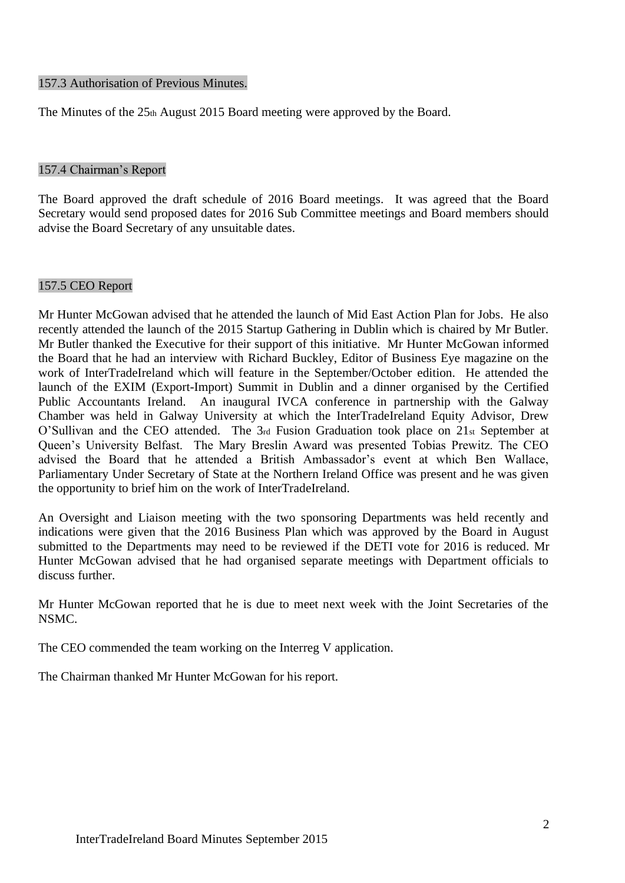#### 157.3 Authorisation of Previous Minutes.

The Minutes of the 25th August 2015 Board meeting were approved by the Board.

#### 157.4 Chairman's Report

The Board approved the draft schedule of 2016 Board meetings. It was agreed that the Board Secretary would send proposed dates for 2016 Sub Committee meetings and Board members should advise the Board Secretary of any unsuitable dates.

#### 157.5 CEO Report

Mr Hunter McGowan advised that he attended the launch of Mid East Action Plan for Jobs. He also recently attended the launch of the 2015 Startup Gathering in Dublin which is chaired by Mr Butler. Mr Butler thanked the Executive for their support of this initiative. Mr Hunter McGowan informed the Board that he had an interview with Richard Buckley, Editor of Business Eye magazine on the work of InterTradeIreland which will feature in the September/October edition. He attended the launch of the EXIM (Export-Import) Summit in Dublin and a dinner organised by the Certified Public Accountants Ireland. An inaugural IVCA conference in partnership with the Galway Chamber was held in Galway University at which the InterTradeIreland Equity Advisor, Drew O'Sullivan and the CEO attended. The 3rd Fusion Graduation took place on 21st September at Queen's University Belfast. The Mary Breslin Award was presented Tobias Prewitz. The CEO advised the Board that he attended a British Ambassador's event at which Ben Wallace, Parliamentary Under Secretary of State at the Northern Ireland Office was present and he was given the opportunity to brief him on the work of InterTradeIreland.

An Oversight and Liaison meeting with the two sponsoring Departments was held recently and indications were given that the 2016 Business Plan which was approved by the Board in August submitted to the Departments may need to be reviewed if the DETI vote for 2016 is reduced. Mr Hunter McGowan advised that he had organised separate meetings with Department officials to discuss further.

Mr Hunter McGowan reported that he is due to meet next week with the Joint Secretaries of the NSMC.

The CEO commended the team working on the Interreg V application.

The Chairman thanked Mr Hunter McGowan for his report.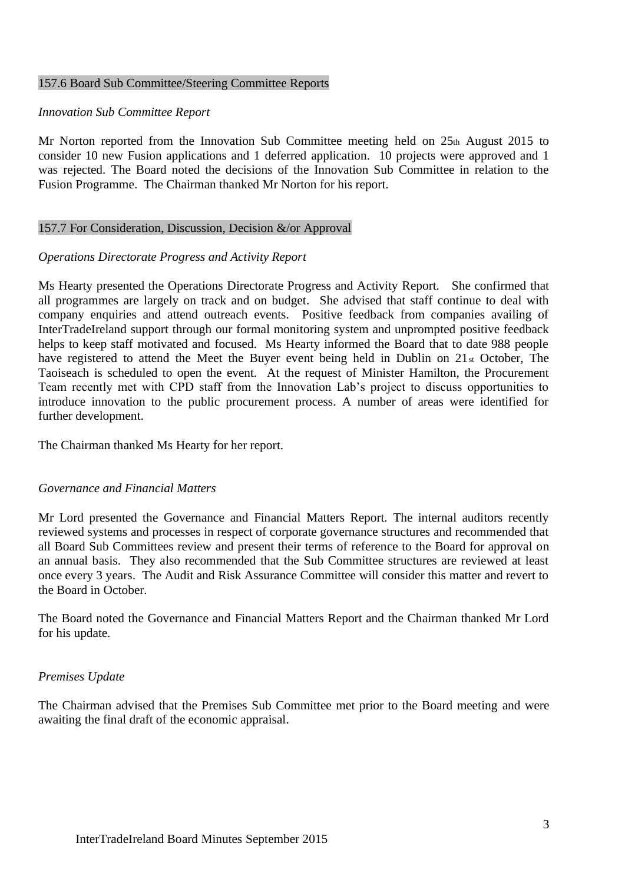#### 157.6 Board Sub Committee/Steering Committee Reports

#### *Innovation Sub Committee Report*

Mr Norton reported from the Innovation Sub Committee meeting held on 25th August 2015 to consider 10 new Fusion applications and 1 deferred application. 10 projects were approved and 1 was rejected. The Board noted the decisions of the Innovation Sub Committee in relation to the Fusion Programme. The Chairman thanked Mr Norton for his report.

#### 157.7 For Consideration, Discussion, Decision &/or Approval

#### *Operations Directorate Progress and Activity Report*

Ms Hearty presented the Operations Directorate Progress and Activity Report. She confirmed that all programmes are largely on track and on budget. She advised that staff continue to deal with company enquiries and attend outreach events. Positive feedback from companies availing of InterTradeIreland support through our formal monitoring system and unprompted positive feedback helps to keep staff motivated and focused. Ms Hearty informed the Board that to date 988 people have registered to attend the Meet the Buyer event being held in Dublin on 21st October, The Taoiseach is scheduled to open the event. At the request of Minister Hamilton, the Procurement Team recently met with CPD staff from the Innovation Lab's project to discuss opportunities to introduce innovation to the public procurement process. A number of areas were identified for further development.

The Chairman thanked Ms Hearty for her report.

#### *Governance and Financial Matters*

Mr Lord presented the Governance and Financial Matters Report. The internal auditors recently reviewed systems and processes in respect of corporate governance structures and recommended that all Board Sub Committees review and present their terms of reference to the Board for approval on an annual basis. They also recommended that the Sub Committee structures are reviewed at least once every 3 years. The Audit and Risk Assurance Committee will consider this matter and revert to the Board in October.

The Board noted the Governance and Financial Matters Report and the Chairman thanked Mr Lord for his update.

#### *Premises Update*

The Chairman advised that the Premises Sub Committee met prior to the Board meeting and were awaiting the final draft of the economic appraisal.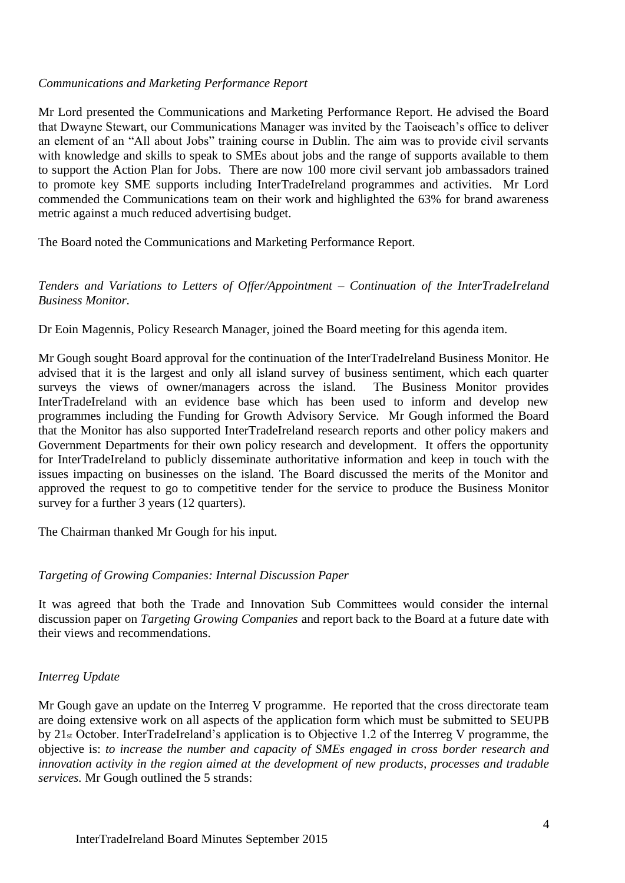### *Communications and Marketing Performance Report*

Mr Lord presented the Communications and Marketing Performance Report. He advised the Board that Dwayne Stewart, our Communications Manager was invited by the Taoiseach's office to deliver an element of an "All about Jobs" training course in Dublin. The aim was to provide civil servants with knowledge and skills to speak to SMEs about jobs and the range of supports available to them to support the Action Plan for Jobs. There are now 100 more civil servant job ambassadors trained to promote key SME supports including InterTradeIreland programmes and activities. Mr Lord commended the Communications team on their work and highlighted the 63% for brand awareness metric against a much reduced advertising budget.

The Board noted the Communications and Marketing Performance Report.

### *Tenders and Variations to Letters of Offer/Appointment – Continuation of the InterTradeIreland Business Monitor.*

Dr Eoin Magennis, Policy Research Manager, joined the Board meeting for this agenda item.

Mr Gough sought Board approval for the continuation of the InterTradeIreland Business Monitor. He advised that it is the largest and only all island survey of business sentiment, which each quarter surveys the views of owner/managers across the island. The Business Monitor provides InterTradeIreland with an evidence base which has been used to inform and develop new programmes including the Funding for Growth Advisory Service. Mr Gough informed the Board that the Monitor has also supported InterTradeIreland research reports and other policy makers and Government Departments for their own policy research and development. It offers the opportunity for InterTradeIreland to publicly disseminate authoritative information and keep in touch with the issues impacting on businesses on the island. The Board discussed the merits of the Monitor and approved the request to go to competitive tender for the service to produce the Business Monitor survey for a further 3 years (12 quarters).

The Chairman thanked Mr Gough for his input.

# *Targeting of Growing Companies: Internal Discussion Paper*

It was agreed that both the Trade and Innovation Sub Committees would consider the internal discussion paper on *Targeting Growing Companies* and report back to the Board at a future date with their views and recommendations.

#### *Interreg Update*

Mr Gough gave an update on the Interreg V programme. He reported that the cross directorate team are doing extensive work on all aspects of the application form which must be submitted to SEUPB by 21st October. InterTradeIreland's application is to Objective 1.2 of the Interreg V programme, the objective is: *to increase the number and capacity of SMEs engaged in cross border research and innovation activity in the region aimed at the development of new products, processes and tradable services.* Mr Gough outlined the 5 strands: